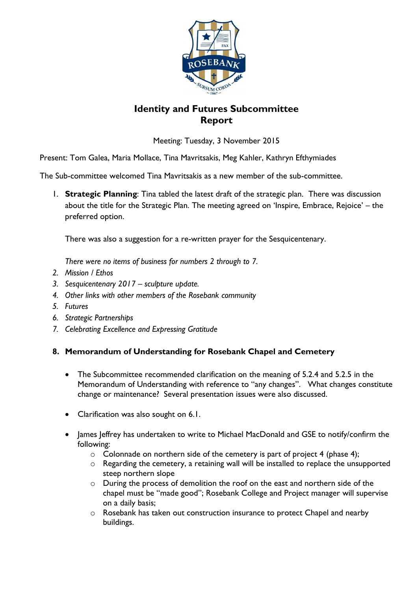

## **Identity and Futures Subcommittee Report**

Meeting: Tuesday, 3 November 2015

Present: Tom Galea, Maria Mollace, Tina Mavritsakis, Meg Kahler, Kathryn Efthymiades

The Sub-committee welcomed Tina Mavritsakis as a new member of the sub-committee.

1. **Strategic Planning**: Tina tabled the latest draft of the strategic plan. There was discussion about the title for the Strategic Plan. The meeting agreed on 'Inspire, Embrace, Rejoice' – the preferred option.

There was also a suggestion for a re-written prayer for the Sesquicentenary.

*There were no items of business for numbers 2 through to 7.*

- *2. Mission / Ethos*
- *3. Sesquicentenary 2017 – sculpture update.*
- *4. Other links with other members of the Rosebank community*
- *5. Futures*
- *6. Strategic Partnerships*
- *7. Celebrating Excellence and Expressing Gratitude*

## **8. Memorandum of Understanding for Rosebank Chapel and Cemetery**

- The Subcommittee recommended clarification on the meaning of 5.2.4 and 5.2.5 in the Memorandum of Understanding with reference to "any changes". What changes constitute change or maintenance? Several presentation issues were also discussed.
- Clarification was also sought on 6.1.
- James Jeffrey has undertaken to write to Michael MacDonald and GSE to notify/confirm the following:
	- $\circ$  Colonnade on northern side of the cemetery is part of project 4 (phase 4);
	- o Regarding the cemetery, a retaining wall will be installed to replace the unsupported steep northern slope
	- o During the process of demolition the roof on the east and northern side of the chapel must be "made good"; Rosebank College and Project manager will supervise on a daily basis;
	- o Rosebank has taken out construction insurance to protect Chapel and nearby buildings.